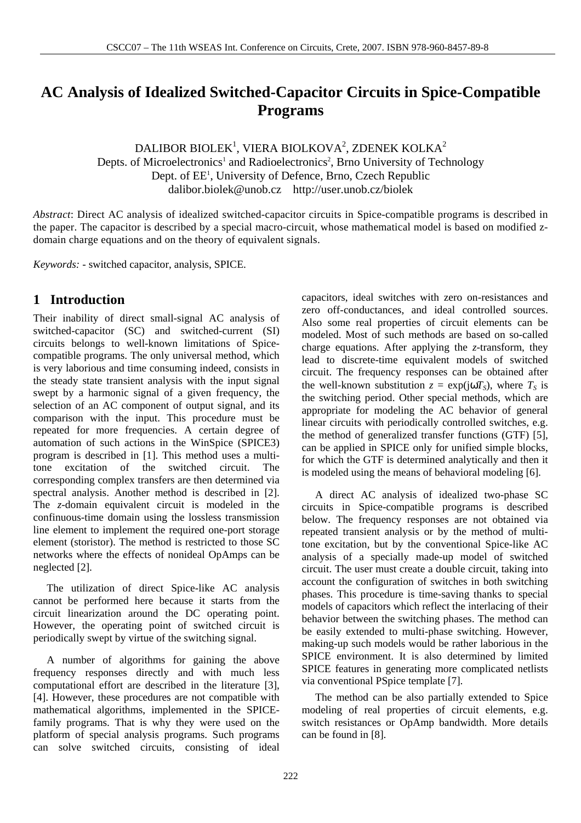# **AC Analysis of Idealized Switched-Capacitor Circuits in Spice-Compatible Programs**

DALIBOR BIOLEK $^{\rm l}$ , VIERA BIOLKOVA $^{\rm 2}$ , ZDENEK KOLKA $^{\rm 2}$ Depts. of Microelectronics<sup>1</sup> and Radioelectronics<sup>2</sup>, Brno University of Technology Dept. of EE<sup>1</sup>, University of Defence, Brno, Czech Republic dalibor.biolek@unob.cz http://user.unob.cz/biolek

*Abstract*: Direct AC analysis of idealized switched-capacitor circuits in Spice-compatible programs is described in the paper. The capacitor is described by a special macro-circuit, whose mathematical model is based on modified zdomain charge equations and on the theory of equivalent signals.

*Keywords: -* switched capacitor, analysis, SPICE.

## **1 Introduction**

Their inability of direct small-signal AC analysis of switched-capacitor (SC) and switched-current (SI) circuits belongs to well-known limitations of Spicecompatible programs. The only universal method, which is very laborious and time consuming indeed, consists in the steady state transient analysis with the input signal swept by a harmonic signal of a given frequency, the selection of an AC component of output signal, and its comparison with the input. This procedure must be repeated for more frequencies. A certain degree of automation of such actions in the WinSpice (SPICE3) program is described in [1]. This method uses a multitone excitation of the switched circuit. The corresponding complex transfers are then determined via spectral analysis. Another method is described in [2]. The *z*-domain equivalent circuit is modeled in the confinuous-time domain using the lossless transmission line element to implement the required one-port storage element (storistor). The method is restricted to those SC networks where the effects of nonideal OpAmps can be neglected [2].

 The utilization of direct Spice-like AC analysis cannot be performed here because it starts from the circuit linearization around the DC operating point. However, the operating point of switched circuit is periodically swept by virtue of the switching signal.

 A number of algorithms for gaining the above frequency responses directly and with much less computational effort are described in the literature [3], [4]. However, these procedures are not compatible with mathematical algorithms, implemented in the SPICEfamily programs. That is why they were used on the platform of special analysis programs. Such programs can solve switched circuits, consisting of ideal capacitors, ideal switches with zero on-resistances and zero off-conductances, and ideal controlled sources. Also some real properties of circuit elements can be modeled. Most of such methods are based on so-called charge equations. After applying the *z*-transform, they lead to discrete-time equivalent models of switched circuit. The frequency responses can be obtained after the well-known substitution  $z = \exp(j\omega T_s)$ , where  $T_s$  is the switching period. Other special methods, which are appropriate for modeling the AC behavior of general linear circuits with periodically controlled switches, e.g. the method of generalized transfer functions (GTF) [5], can be applied in SPICE only for unified simple blocks, for which the GTF is determined analytically and then it is modeled using the means of behavioral modeling [6].

 A direct AC analysis of idealized two-phase SC circuits in Spice-compatible programs is described below. The frequency responses are not obtained via repeated transient analysis or by the method of multitone excitation, but by the conventional Spice-like AC analysis of a specially made-up model of switched circuit. The user must create a double circuit, taking into account the configuration of switches in both switching phases. This procedure is time-saving thanks to special models of capacitors which reflect the interlacing of their behavior between the switching phases. The method can be easily extended to multi-phase switching. However, making-up such models would be rather laborious in the SPICE environment. It is also determined by limited SPICE features in generating more complicated netlists via conventional PSpice template [7].

 The method can be also partially extended to Spice modeling of real properties of circuit elements, e.g. switch resistances or OpAmp bandwidth. More details can be found in [8].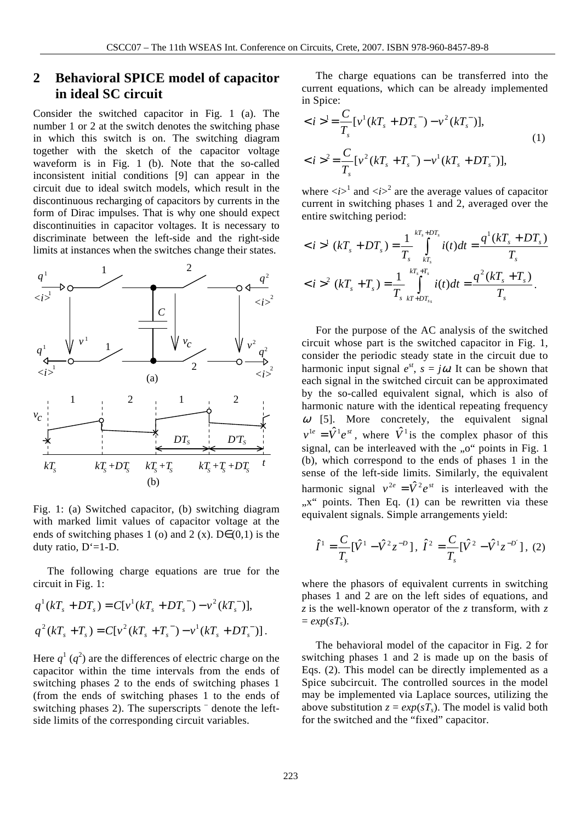## **2 Behavioral SPICE model of capacitor in ideal SC circuit**

Consider the switched capacitor in Fig. 1 (a). The number 1 or 2 at the switch denotes the switching phase in which this switch is on. The switching diagram together with the sketch of the capacitor voltage waveform is in Fig. 1 (b). Note that the so-called inconsistent initial conditions [9] can appear in the circuit due to ideal switch models, which result in the discontinuous recharging of capacitors by currents in the form of Dirac impulses. That is why one should expect discontinuities in capacitor voltages. It is necessary to discriminate between the left-side and the right-side limits at instances when the switches change their states.



Fig. 1: (a) Switched capacitor, (b) switching diagram with marked limit values of capacitor voltage at the ends of switching phases 1 (o) and 2 (x). D $\in$  (0,1) is the duty ratio, D'=1-D.

 The following charge equations are true for the circuit in Fig. 1:

$$
q^{1}(kT_{s} + DT_{s}) = C[v^{1}(kT_{s} + DT_{s}^{-}) - v^{2}(kT_{s}^{-})],
$$
  

$$
q^{2}(kT_{s} + T_{s}) = C[v^{2}(kT_{s} + T_{s}^{-}) - v^{1}(kT_{s} + DT_{s}^{-})].
$$

Here  $q^1$  ( $q^2$ ) are the differences of electric charge on the capacitor within the time intervals from the ends of switching phases 2 to the ends of switching phases 1 (from the ends of switching phases 1 to the ends of switching phases 2). The superscripts <sup>-</sup> denote the leftside limits of the corresponding circuit variables.

 The charge equations can be transferred into the current equations, which can be already implemented in Spice:

$$
\langle i \rangle^{1} = \frac{C}{T_{s}} [v^{1} (kT_{s} + DT_{s}^{-}) - v^{2} (kT_{s}^{-})],
$$
  

$$
\langle i \rangle^{2} = \frac{C}{T_{s}} [v^{2} (kT_{s} + T_{s}^{-}) - v^{1} (kT_{s} + DT_{s}^{-})],
$$
 (1)

where  $\langle i \rangle^1$  and  $\langle i \rangle^2$  are the average values of capacitor current in switching phases 1 and 2, averaged over the entire switching period:

$$
\langle i \rangle^{1} (kT_{s} + DT_{s}) = \frac{1}{T_{s}} \int_{kT_{s}}^{kT_{s} + DT_{s}} i(t)dt = \frac{q^{1}(kT_{s} + DT_{s})}{T_{s}}
$$
  

$$
\langle i \rangle^{2} (kT_{s} + T_{s}) = \frac{1}{T_{s}} \int_{kT + DT_{s}}^{kT_{s} + T_{s}} i(t)dt = \frac{q^{2}(kT_{s} + T_{s})}{T_{s}}.
$$

 For the purpose of the AC analysis of the switched circuit whose part is the switched capacitor in Fig. 1, consider the periodic steady state in the circuit due to harmonic input signal  $e^{st}$ ,  $s = j\omega$ . It can be shown that each signal in the switched circuit can be approximated by the so-called equivalent signal, which is also of harmonic nature with the identical repeating frequency  $\omega$  [5]. More concretely, the equivalent signal  $v^{1e} = \hat{V}^1 e^{st}$ , where  $\hat{V}^1$  is the complex phasor of this signal, can be interleaved with the  $\alpha$ <sup>"</sup> points in Fig. 1 (b), which correspond to the ends of phases 1 in the sense of the left-side limits. Similarly, the equivalent harmonic signal  $v^{2e} = \hat{V}^2 e^{st}$  is interleaved with the "x" points. Then Eq. (1) can be rewritten via these equivalent signals. Simple arrangements yield:

$$
\hat{I}^{1} = \frac{C}{T_{s}} [\hat{V}^{1} - \hat{V}^{2} z^{-D}], \ \hat{I}^{2} = \frac{C}{T_{s}} [\hat{V}^{2} - \hat{V}^{1} z^{-D'}], \ (2)
$$

where the phasors of equivalent currents in switching phases 1 and 2 are on the left sides of equations, and *z* is the well-known operator of the *z* transform, with *z*  $= exp(sT<sub>s</sub>)$ .

 The behavioral model of the capacitor in Fig. 2 for switching phases 1 and 2 is made up on the basis of Eqs. (2). This model can be directly implemented as a Spice subcircuit. The controlled sources in the model may be implemented via Laplace sources, utilizing the above substitution  $z = exp(sT_s)$ . The model is valid both for the switched and the "fixed" capacitor.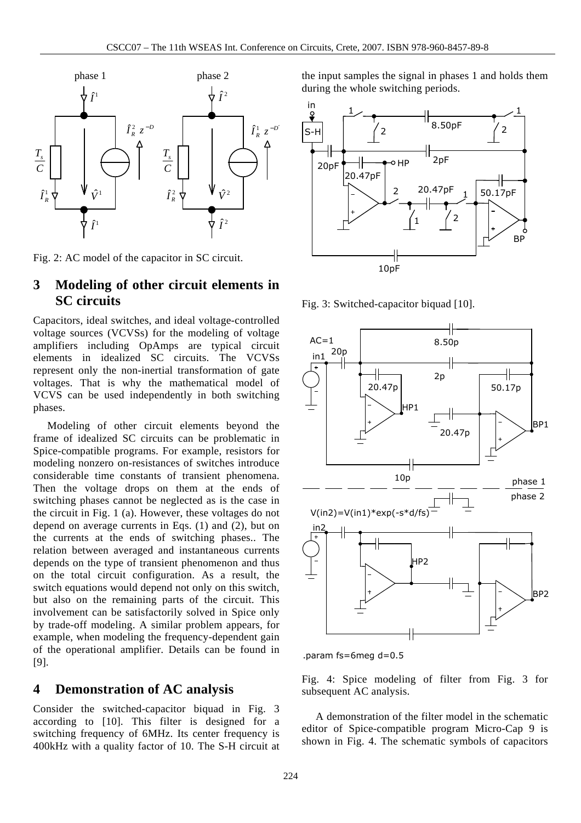

Fig. 2: AC model of the capacitor in SC circuit.

### **3 Modeling of other circuit elements in SC circuits**

Capacitors, ideal switches, and ideal voltage-controlled voltage sources (VCVSs) for the modeling of voltage amplifiers including OpAmps are typical circuit elements in idealized SC circuits. The VCVSs represent only the non-inertial transformation of gate voltages. That is why the mathematical model of VCVS can be used independently in both switching phases.

 Modeling of other circuit elements beyond the frame of idealized SC circuits can be problematic in Spice-compatible programs. For example, resistors for modeling nonzero on-resistances of switches introduce considerable time constants of transient phenomena. Then the voltage drops on them at the ends of switching phases cannot be neglected as is the case in the circuit in Fig. 1 (a). However, these voltages do not depend on average currents in Eqs. (1) and (2), but on the currents at the ends of switching phases.. The relation between averaged and instantaneous currents depends on the type of transient phenomenon and thus on the total circuit configuration. As a result, the switch equations would depend not only on this switch, but also on the remaining parts of the circuit. This involvement can be satisfactorily solved in Spice only by trade-off modeling. A similar problem appears, for example, when modeling the frequency-dependent gain of the operational amplifier. Details can be found in [9].

### **4 Demonstration of AC analysis**

Consider the switched-capacitor biquad in Fig. 3 according to [10]. This filter is designed for a switching frequency of 6MHz. Its center frequency is 400kHz with a quality factor of 10. The S-H circuit at the input samples the signal in phases 1 and holds them during the whole switching periods.



Fig. 3: Switched-capacitor biquad [10].



.param fs=6meg d=0.5

Fig. 4: Spice modeling of filter from Fig. 3 for subsequent AC analysis.

 A demonstration of the filter model in the schematic editor of Spice-compatible program Micro-Cap 9 is shown in Fig. 4. The schematic symbols of capacitors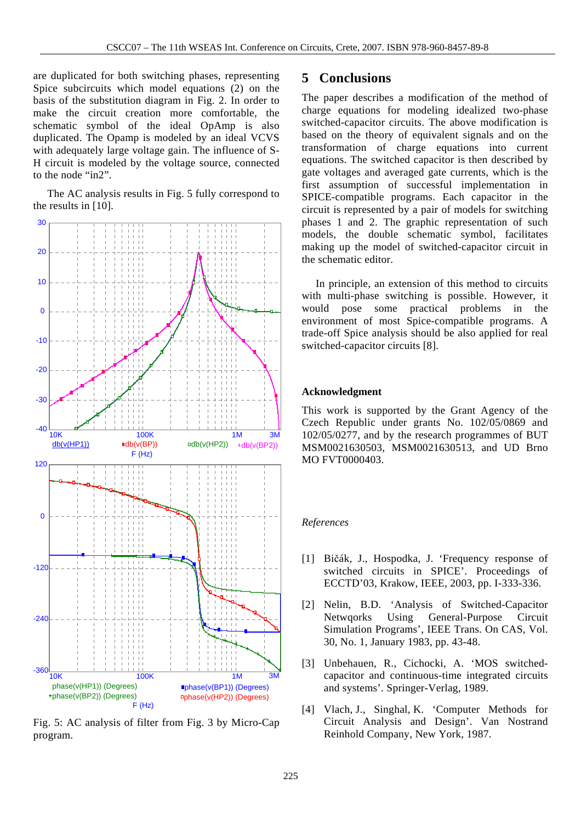are duplicated for both switching phases, representing Spice subcircuits which model equations (2) on the basis of the substitution diagram in Fig. 2. In order to make the circuit creation more comfortable, the schematic symbol of the ideal OpAmp is also duplicated. The Opamp is modeled by an ideal VCVS with adequately large voltage gain. The influence of S-H circuit is modeled by the voltage source, connected to the node "in2".

 The AC analysis results in Fig. 5 fully correspond to the results in [10].



Fig. 5: AC analysis of filter from Fig. 3 by Micro-Cap program.

### **5 Conclusions**

The paper describes a modification of the method of charge equations for modeling idealized two-phase switched-capacitor circuits. The above modification is based on the theory of equivalent signals and on the transformation of charge equations into current equations. The switched capacitor is then described by gate voltages and averaged gate currents, which is the first assumption of successful implementation in SPICE-compatible programs. Each capacitor in the circuit is represented by a pair of models for switching phases 1 and 2. The graphic representation of such models, the double schematic symbol, facilitates making up the model of switched-capacitor circuit in the schematic editor.

 In principle, an extension of this method to circuits with multi-phase switching is possible. However, it would pose some practical problems in the environment of most Spice-compatible programs. A trade-off Spice analysis should be also applied for real switched-capacitor circuits [8].

#### **Acknowledgment**

This work is supported by the Grant Agency of the Czech Republic under grants No. 102/05/0869 and 102/05/0277, and by the research programmes of BUT MSM0021630503, MSM0021630513, and UD Brno MO FVT0000403.

#### *References*

- [1] Bičák, J., Hospodka, J. 'Frequency response of switched circuits in SPICE'. Proceedings of ECCTD'03, Krakow, IEEE, 2003, pp. I-333-336.
- [2] Nelin, B.D. 'Analysis of Switched-Capacitor Netwqorks Using General-Purpose Circuit Simulation Programs', IEEE Trans. On CAS, Vol. 30, No. 1, January 1983, pp. 43-48.
- [3] Unbehauen, R., Cichocki, A. 'MOS switchedcapacitor and continuous-time integrated circuits and systems'. Springer-Verlag, 1989.
- [4] Vlach, J., Singhal, K. 'Computer Methods for Circuit Analysis and Design'. Van Nostrand Reinhold Company, New York, 1987.